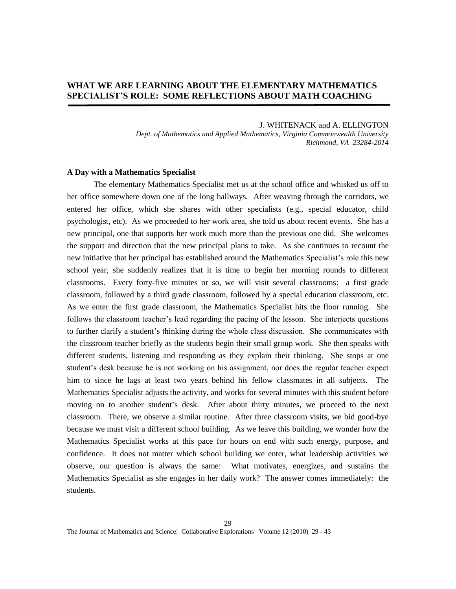# **WHAT WE ARE LEARNING ABOUT THE ELEMENTARY MATHEMATICS SPECIALIST'S ROLE: SOME REFLECTIONS ABOUT MATH COACHING**

#### J. WHITENACK and A. ELLINGTON

*Dept. of Mathematics and Applied Mathematics, Virginia Commonwealth University Richmond, VA 23284-2014* 

## **A Day with a Mathematics Specialist**

The elementary Mathematics Specialist met us at the school office and whisked us off to her office somewhere down one of the long hallways. After weaving through the corridors, we entered her office, which she shares with other specialists (e.g., special educator, child psychologist, etc). As we proceeded to her work area, she told us about recent events. She has a new principal, one that supports her work much more than the previous one did. She welcomes the support and direction that the new principal plans to take. As she continues to recount the new initiative that her principal has established around the Mathematics Specialist's role this new school year, she suddenly realizes that it is time to begin her morning rounds to different classrooms. Every forty-five minutes or so, we will visit several classrooms: a first grade classroom, followed by a third grade classroom, followed by a special education classroom, etc. As we enter the first grade classroom, the Mathematics Specialist hits the floor running. She follows the classroom teacher's lead regarding the pacing of the lesson. She interjects questions to further clarify a student's thinking during the whole class discussion. She communicates with the classroom teacher briefly as the students begin their small group work. She then speaks with different students, listening and responding as they explain their thinking. She stops at one student's desk because he is not working on his assignment, nor does the regular teacher expect him to since he lags at least two years behind his fellow classmates in all subjects. The Mathematics Specialist adjusts the activity, and works for several minutes with this student before moving on to another student's desk. After about thirty minutes, we proceed to the next classroom. There, we observe a similar routine. After three classroom visits, we bid good-bye because we must visit a different school building. As we leave this building, we wonder how the Mathematics Specialist works at this pace for hours on end with such energy, purpose, and confidence. It does not matter which school building we enter, what leadership activities we observe, our question is always the same: What motivates, energizes, and sustains the Mathematics Specialist as she engages in her daily work? The answer comes immediately: the students.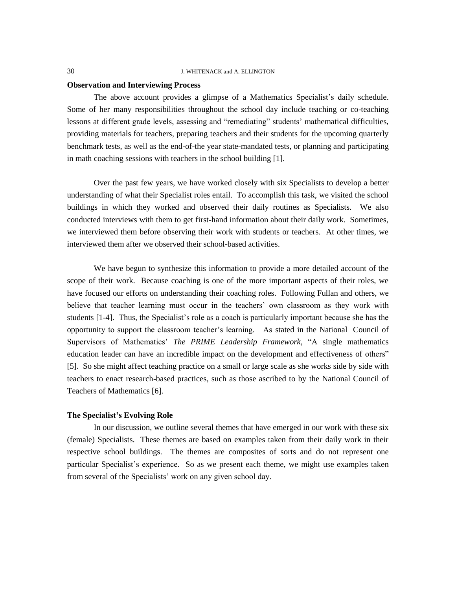# **Observation and Interviewing Process**

The above account provides a glimpse of a Mathematics Specialist's daily schedule. Some of her many responsibilities throughout the school day include teaching or co-teaching lessons at different grade levels, assessing and "remediating" students' mathematical difficulties, providing materials for teachers, preparing teachers and their students for the upcoming quarterly benchmark tests, as well as the end-of-the year state-mandated tests, or planning and participating in math coaching sessions with teachers in the school building [1].

Over the past few years, we have worked closely with six Specialists to develop a better understanding of what their Specialist roles entail. To accomplish this task, we visited the school buildings in which they worked and observed their daily routines as Specialists. We also conducted interviews with them to get first-hand information about their daily work. Sometimes, we interviewed them before observing their work with students or teachers. At other times, we interviewed them after we observed their school-based activities.

We have begun to synthesize this information to provide a more detailed account of the scope of their work. Because coaching is one of the more important aspects of their roles, we have focused our efforts on understanding their coaching roles. Following Fullan and others, we believe that teacher learning must occur in the teachers' own classroom as they work with students [1-4]. Thus, the Specialist's role as a coach is particularly important because she has the opportunity to support the classroom teacher's learning. As stated in the National Council of Supervisors of Mathematics' *The PRIME Leadership Framework*, "A single mathematics education leader can have an incredible impact on the development and effectiveness of others" [5]. So she might affect teaching practice on a small or large scale as she works side by side with teachers to enact research-based practices, such as those ascribed to by the National Council of Teachers of Mathematics [6].

# **The Specialist's Evolving Role**

In our discussion, we outline several themes that have emerged in our work with these six (female) Specialists. These themes are based on examples taken from their daily work in their respective school buildings. The themes are composites of sorts and do not represent one particular Specialist's experience. So as we present each theme, we might use examples taken from several of the Specialists' work on any given school day.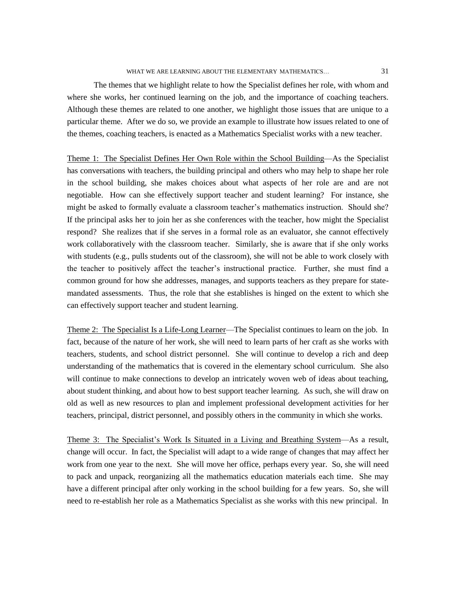### WHAT WE ARE LEARNING ABOUT THE ELEMENTARY MATHEMATICS...  $31$

The themes that we highlight relate to how the Specialist defines her role, with whom and where she works, her continued learning on the job, and the importance of coaching teachers. Although these themes are related to one another, we highlight those issues that are unique to a particular theme. After we do so, we provide an example to illustrate how issues related to one of the themes, coaching teachers, is enacted as a Mathematics Specialist works with a new teacher.

Theme 1: The Specialist Defines Her Own Role within the School Building—As the Specialist has conversations with teachers, the building principal and others who may help to shape her role in the school building, she makes choices about what aspects of her role are and are not negotiable. How can she effectively support teacher and student learning? For instance, she might be asked to formally evaluate a classroom teacher's mathematics instruction. Should she? If the principal asks her to join her as she conferences with the teacher, how might the Specialist respond? She realizes that if she serves in a formal role as an evaluator, she cannot effectively work collaboratively with the classroom teacher. Similarly, she is aware that if she only works with students (e.g., pulls students out of the classroom), she will not be able to work closely with the teacher to positively affect the teacher's instructional practice. Further, she must find a common ground for how she addresses, manages, and supports teachers as they prepare for statemandated assessments. Thus, the role that she establishes is hinged on the extent to which she can effectively support teacher and student learning.

Theme 2: The Specialist Is a Life-Long Learner—The Specialist continues to learn on the job. In fact, because of the nature of her work, she will need to learn parts of her craft as she works with teachers, students, and school district personnel. She will continue to develop a rich and deep understanding of the mathematics that is covered in the elementary school curriculum. She also will continue to make connections to develop an intricately woven web of ideas about teaching, about student thinking, and about how to best support teacher learning. As such, she will draw on old as well as new resources to plan and implement professional development activities for her teachers, principal, district personnel, and possibly others in the community in which she works.

Theme 3: The Specialist's Work Is Situated in a Living and Breathing System—As a result, change will occur. In fact, the Specialist will adapt to a wide range of changes that may affect her work from one year to the next. She will move her office, perhaps every year. So, she will need to pack and unpack, reorganizing all the mathematics education materials each time. She may have a different principal after only working in the school building for a few years. So, she will need to re-establish her role as a Mathematics Specialist as she works with this new principal. In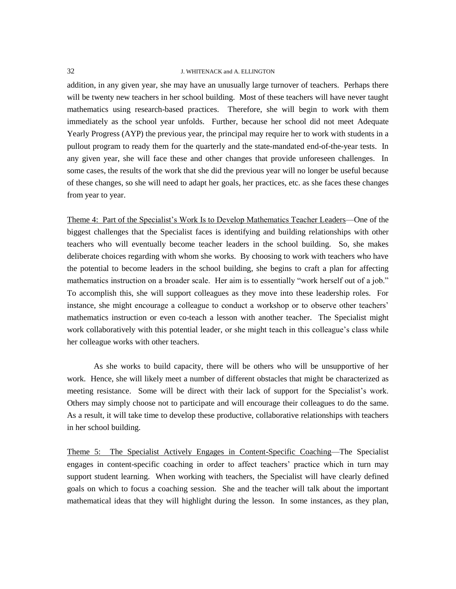addition, in any given year, she may have an unusually large turnover of teachers. Perhaps there will be twenty new teachers in her school building. Most of these teachers will have never taught mathematics using research-based practices. Therefore, she will begin to work with them immediately as the school year unfolds. Further, because her school did not meet Adequate Yearly Progress (AYP) the previous year, the principal may require her to work with students in a pullout program to ready them for the quarterly and the state-mandated end-of-the-year tests. In any given year, she will face these and other changes that provide unforeseen challenges. In some cases, the results of the work that she did the previous year will no longer be useful because of these changes, so she will need to adapt her goals, her practices, etc. as she faces these changes from year to year.

Theme 4: Part of the Specialist's Work Is to Develop Mathematics Teacher Leaders—One of the biggest challenges that the Specialist faces is identifying and building relationships with other teachers who will eventually become teacher leaders in the school building. So, she makes deliberate choices regarding with whom she works. By choosing to work with teachers who have the potential to become leaders in the school building, she begins to craft a plan for affecting mathematics instruction on a broader scale. Her aim is to essentially "work herself out of a job." To accomplish this, she will support colleagues as they move into these leadership roles. For instance, she might encourage a colleague to conduct a workshop or to observe other teachers' mathematics instruction or even co-teach a lesson with another teacher. The Specialist might work collaboratively with this potential leader, or she might teach in this colleague's class while her colleague works with other teachers.

As she works to build capacity, there will be others who will be unsupportive of her work. Hence, she will likely meet a number of different obstacles that might be characterized as meeting resistance. Some will be direct with their lack of support for the Specialist's work. Others may simply choose not to participate and will encourage their colleagues to do the same. As a result, it will take time to develop these productive, collaborative relationships with teachers in her school building.

Theme 5: The Specialist Actively Engages in Content-Specific Coaching—The Specialist engages in content-specific coaching in order to affect teachers' practice which in turn may support student learning. When working with teachers, the Specialist will have clearly defined goals on which to focus a coaching session. She and the teacher will talk about the important mathematical ideas that they will highlight during the lesson. In some instances, as they plan,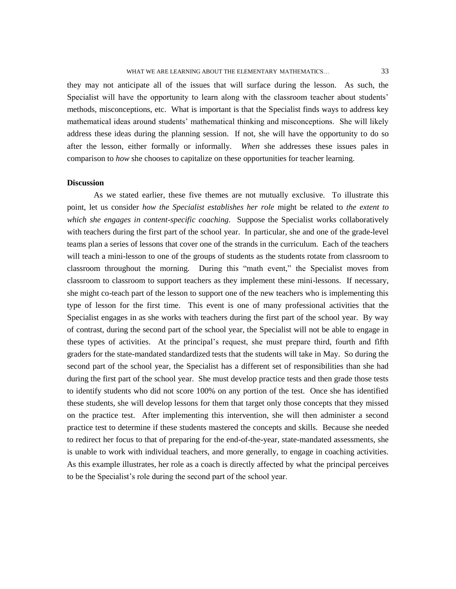they may not anticipate all of the issues that will surface during the lesson. As such, the Specialist will have the opportunity to learn along with the classroom teacher about students' methods, misconceptions, etc. What is important is that the Specialist finds ways to address key mathematical ideas around students' mathematical thinking and misconceptions. She will likely address these ideas during the planning session. If not, she will have the opportunity to do so after the lesson, either formally or informally. *When* she addresses these issues pales in comparison to *how* she chooses to capitalize on these opportunities for teacher learning.

### **Discussion**

As we stated earlier, these five themes are not mutually exclusive. To illustrate this point, let us consider *how the Specialist establishes her role* might be related to *the extent to which she engages in content-specific coaching*. Suppose the Specialist works collaboratively with teachers during the first part of the school year. In particular, she and one of the grade-level teams plan a series of lessons that cover one of the strands in the curriculum. Each of the teachers will teach a mini-lesson to one of the groups of students as the students rotate from classroom to classroom throughout the morning. During this "math event," the Specialist moves from classroom to classroom to support teachers as they implement these mini-lessons. If necessary, she might co-teach part of the lesson to support one of the new teachers who is implementing this type of lesson for the first time. This event is one of many professional activities that the Specialist engages in as she works with teachers during the first part of the school year. By way of contrast, during the second part of the school year, the Specialist will not be able to engage in these types of activities. At the principal's request, she must prepare third, fourth and fifth graders for the state-mandated standardized tests that the students will take in May. So during the second part of the school year, the Specialist has a different set of responsibilities than she had during the first part of the school year. She must develop practice tests and then grade those tests to identify students who did not score 100% on any portion of the test. Once she has identified these students, she will develop lessons for them that target only those concepts that they missed on the practice test. After implementing this intervention, she will then administer a second practice test to determine if these students mastered the concepts and skills. Because she needed to redirect her focus to that of preparing for the end-of-the-year, state-mandated assessments, she is unable to work with individual teachers, and more generally, to engage in coaching activities. As this example illustrates, her role as a coach is directly affected by what the principal perceives to be the Specialist's role during the second part of the school year.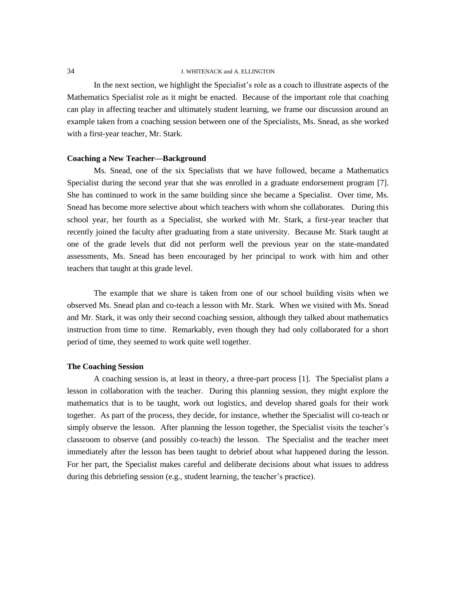In the next section, we highlight the Specialist's role as a coach to illustrate aspects of the Mathematics Specialist role as it might be enacted. Because of the important role that coaching can play in affecting teacher and ultimately student learning, we frame our discussion around an example taken from a coaching session between one of the Specialists, Ms. Snead, as she worked with a first-year teacher, Mr. Stark.

# **Coaching a New Teacher—Background**

Ms. Snead, one of the six Specialists that we have followed, became a Mathematics Specialist during the second year that she was enrolled in a graduate endorsement program [7]. She has continued to work in the same building since she became a Specialist. Over time, Ms. Snead has become more selective about which teachers with whom she collaborates. During this school year, her fourth as a Specialist, she worked with Mr. Stark, a first-year teacher that recently joined the faculty after graduating from a state university. Because Mr. Stark taught at one of the grade levels that did not perform well the previous year on the state-mandated assessments, Ms. Snead has been encouraged by her principal to work with him and other teachers that taught at this grade level.

The example that we share is taken from one of our school building visits when we observed Ms. Snead plan and co-teach a lesson with Mr. Stark. When we visited with Ms. Snead and Mr. Stark, it was only their second coaching session, although they talked about mathematics instruction from time to time. Remarkably, even though they had only collaborated for a short period of time, they seemed to work quite well together.

# **The Coaching Session**

A coaching session is, at least in theory, a three-part process [1]. The Specialist plans a lesson in collaboration with the teacher. During this planning session, they might explore the mathematics that is to be taught, work out logistics, and develop shared goals for their work together. As part of the process, they decide, for instance, whether the Specialist will co-teach or simply observe the lesson. After planning the lesson together, the Specialist visits the teacher's classroom to observe (and possibly co-teach) the lesson. The Specialist and the teacher meet immediately after the lesson has been taught to debrief about what happened during the lesson. For her part, the Specialist makes careful and deliberate decisions about what issues to address during this debriefing session (e.g., student learning, the teacher's practice).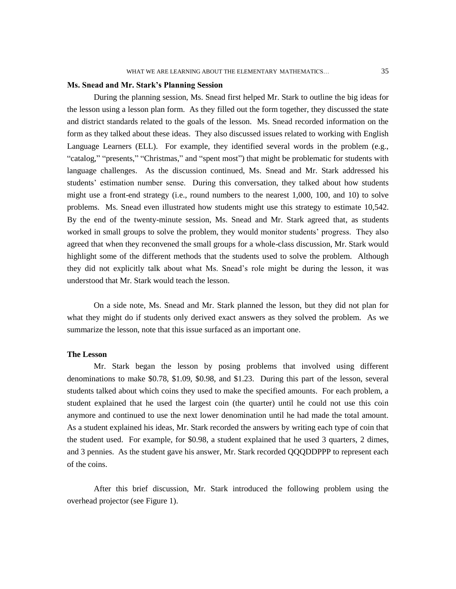# **Ms. Snead and Mr. Stark's Planning Session**

During the planning session, Ms. Snead first helped Mr. Stark to outline the big ideas for the lesson using a lesson plan form. As they filled out the form together, they discussed the state and district standards related to the goals of the lesson. Ms. Snead recorded information on the form as they talked about these ideas. They also discussed issues related to working with English Language Learners (ELL). For example, they identified several words in the problem (e.g., "catalog," "presents," "Christmas," and "spent most") that might be problematic for students with language challenges. As the discussion continued, Ms. Snead and Mr. Stark addressed his students' estimation number sense. During this conversation, they talked about how students might use a front-end strategy (i.e., round numbers to the nearest 1,000, 100, and 10) to solve problems. Ms. Snead even illustrated how students might use this strategy to estimate 10,542. By the end of the twenty-minute session, Ms. Snead and Mr. Stark agreed that, as students worked in small groups to solve the problem, they would monitor students' progress. They also agreed that when they reconvened the small groups for a whole-class discussion, Mr. Stark would highlight some of the different methods that the students used to solve the problem. Although they did not explicitly talk about what Ms. Snead's role might be during the lesson, it was understood that Mr. Stark would teach the lesson.

On a side note, Ms. Snead and Mr. Stark planned the lesson, but they did not plan for what they might do if students only derived exact answers as they solved the problem. As we summarize the lesson, note that this issue surfaced as an important one.

# **The Lesson**

Mr. Stark began the lesson by posing problems that involved using different denominations to make \$0.78, \$1.09, \$0.98, and \$1.23. During this part of the lesson, several students talked about which coins they used to make the specified amounts. For each problem, a student explained that he used the largest coin (the quarter) until he could not use this coin anymore and continued to use the next lower denomination until he had made the total amount. As a student explained his ideas, Mr. Stark recorded the answers by writing each type of coin that the student used. For example, for \$0.98, a student explained that he used 3 quarters, 2 dimes, and 3 pennies. As the student gave his answer, Mr. Stark recorded QQQDDPPP to represent each of the coins.

After this brief discussion, Mr. Stark introduced the following problem using the overhead projector (see Figure 1).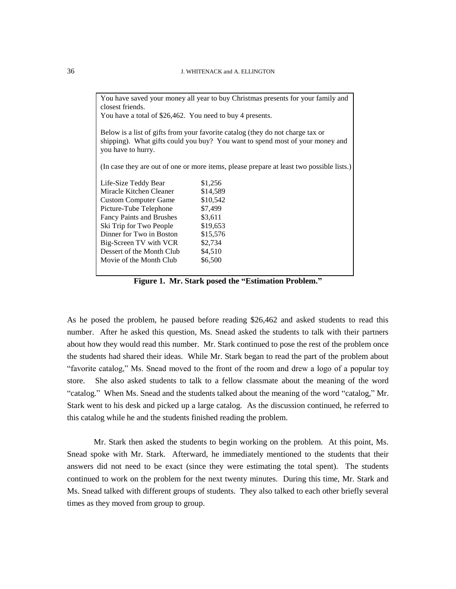| You have saved your money all year to buy Christmas presents for your family and<br>closest friends.                                                                                  |          |
|---------------------------------------------------------------------------------------------------------------------------------------------------------------------------------------|----------|
| You have a total of \$26,462. You need to buy 4 presents.                                                                                                                             |          |
|                                                                                                                                                                                       |          |
| Below is a list of gifts from your favorite catalog (they do not charge tax or<br>shipping). What gifts could you buy? You want to spend most of your money and<br>you have to hurry. |          |
| (In case they are out of one or more items, please prepare at least two possible lists.)                                                                                              |          |
| Life-Size Teddy Bear                                                                                                                                                                  | \$1,256  |
| Miracle Kitchen Cleaner                                                                                                                                                               | \$14,589 |
| <b>Custom Computer Game</b>                                                                                                                                                           | \$10,542 |
| Picture-Tube Telephone                                                                                                                                                                | \$7,499  |
| <b>Fancy Paints and Brushes</b>                                                                                                                                                       | \$3,611  |
| Ski Trip for Two People                                                                                                                                                               | \$19,653 |
| Dinner for Two in Boston                                                                                                                                                              | \$15,576 |
| Big-Screen TV with VCR                                                                                                                                                                | \$2,734  |
| Dessert of the Month Club                                                                                                                                                             | \$4,510  |
| Movie of the Month Club                                                                                                                                                               | \$6,500  |
|                                                                                                                                                                                       |          |

**Figure 1. Mr. Stark posed the "Estimation Problem."**

As he posed the problem, he paused before reading \$26,462 and asked students to read this number. After he asked this question, Ms. Snead asked the students to talk with their partners about how they would read this number. Mr. Stark continued to pose the rest of the problem once the students had shared their ideas. While Mr. Stark began to read the part of the problem about "favorite catalog," Ms. Snead moved to the front of the room and drew a logo of a popular toy store. She also asked students to talk to a fellow classmate about the meaning of the word "catalog." When Ms. Snead and the students talked about the meaning of the word "catalog," Mr. Stark went to his desk and picked up a large catalog. As the discussion continued, he referred to this catalog while he and the students finished reading the problem.

Mr. Stark then asked the students to begin working on the problem. At this point, Ms. Snead spoke with Mr. Stark. Afterward, he immediately mentioned to the students that their answers did not need to be exact (since they were estimating the total spent). The students continued to work on the problem for the next twenty minutes. During this time, Mr. Stark and Ms. Snead talked with different groups of students. They also talked to each other briefly several times as they moved from group to group.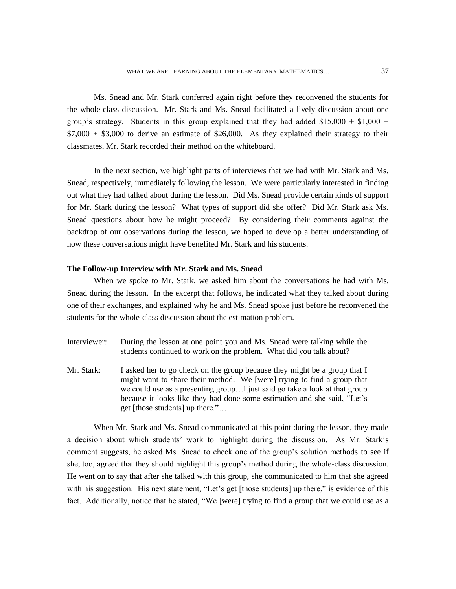Ms. Snead and Mr. Stark conferred again right before they reconvened the students for the whole-class discussion. Mr. Stark and Ms. Snead facilitated a lively discussion about one group's strategy. Students in this group explained that they had added  $$15,000 + $1,000 +$  $$7,000 + $3,000$  to derive an estimate of \$26,000. As they explained their strategy to their classmates, Mr. Stark recorded their method on the whiteboard.

In the next section, we highlight parts of interviews that we had with Mr. Stark and Ms. Snead, respectively, immediately following the lesson. We were particularly interested in finding out what they had talked about during the lesson. Did Ms. Snead provide certain kinds of support for Mr. Stark during the lesson? What types of support did she offer? Did Mr. Stark ask Ms. Snead questions about how he might proceed? By considering their comments against the backdrop of our observations during the lesson, we hoped to develop a better understanding of how these conversations might have benefited Mr. Stark and his students.

#### **The Follow-up Interview with Mr. Stark and Ms. Snead**

When we spoke to Mr. Stark, we asked him about the conversations he had with Ms. Snead during the lesson. In the excerpt that follows, he indicated what they talked about during one of their exchanges, and explained why he and Ms. Snead spoke just before he reconvened the students for the whole-class discussion about the estimation problem.

- Interviewer: During the lesson at one point you and Ms. Snead were talking while the students continued to work on the problem. What did you talk about?
- Mr. Stark: I asked her to go check on the group because they might be a group that I might want to share their method. We [were] trying to find a group that we could use as a presenting group…I just said go take a look at that group because it looks like they had done some estimation and she said, "Let's get [those students] up there."…

When Mr. Stark and Ms. Snead communicated at this point during the lesson, they made a decision about which students' work to highlight during the discussion. As Mr. Stark's comment suggests, he asked Ms. Snead to check one of the group's solution methods to see if she, too, agreed that they should highlight this group's method during the whole-class discussion. He went on to say that after she talked with this group, she communicated to him that she agreed with his suggestion. His next statement, "Let's get [those students] up there," is evidence of this fact. Additionally, notice that he stated, "We [were] trying to find a group that we could use as a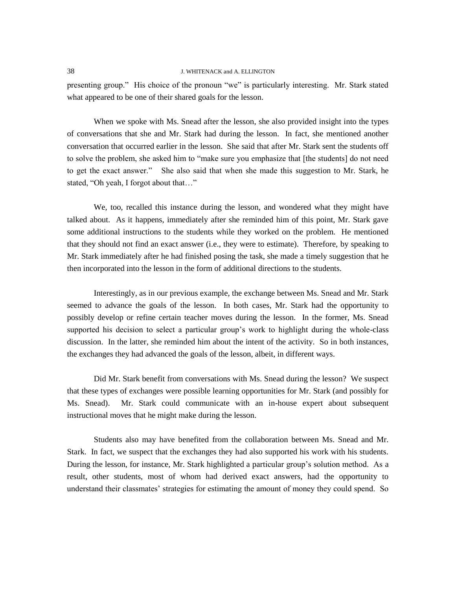presenting group." His choice of the pronoun "we" is particularly interesting. Mr. Stark stated what appeared to be one of their shared goals for the lesson.

When we spoke with Ms. Snead after the lesson, she also provided insight into the types of conversations that she and Mr. Stark had during the lesson. In fact, she mentioned another conversation that occurred earlier in the lesson. She said that after Mr. Stark sent the students off to solve the problem, she asked him to "make sure you emphasize that [the students] do not need to get the exact answer." She also said that when she made this suggestion to Mr. Stark, he stated, "Oh yeah, I forgot about that…"

We, too, recalled this instance during the lesson, and wondered what they might have talked about. As it happens, immediately after she reminded him of this point, Mr. Stark gave some additional instructions to the students while they worked on the problem. He mentioned that they should not find an exact answer (i.e., they were to estimate). Therefore, by speaking to Mr. Stark immediately after he had finished posing the task, she made a timely suggestion that he then incorporated into the lesson in the form of additional directions to the students.

Interestingly, as in our previous example, the exchange between Ms. Snead and Mr. Stark seemed to advance the goals of the lesson. In both cases, Mr. Stark had the opportunity to possibly develop or refine certain teacher moves during the lesson. In the former, Ms. Snead supported his decision to select a particular group's work to highlight during the whole-class discussion. In the latter, she reminded him about the intent of the activity. So in both instances, the exchanges they had advanced the goals of the lesson, albeit, in different ways.

Did Mr. Stark benefit from conversations with Ms. Snead during the lesson? We suspect that these types of exchanges were possible learning opportunities for Mr. Stark (and possibly for Ms. Snead). Mr. Stark could communicate with an in-house expert about subsequent instructional moves that he might make during the lesson.

Students also may have benefited from the collaboration between Ms. Snead and Mr. Stark. In fact, we suspect that the exchanges they had also supported his work with his students. During the lesson, for instance, Mr. Stark highlighted a particular group's solution method. As a result, other students, most of whom had derived exact answers, had the opportunity to understand their classmates' strategies for estimating the amount of money they could spend. So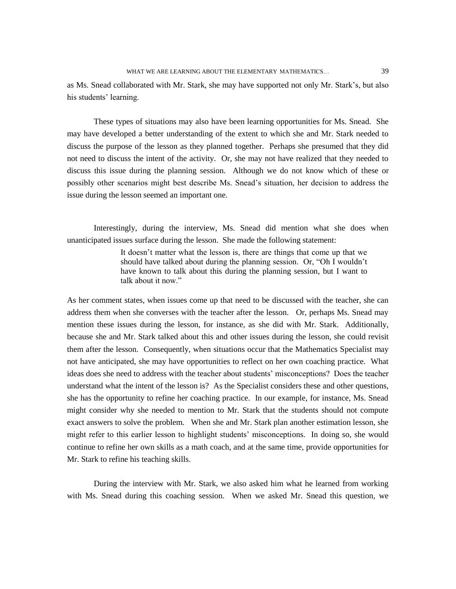as Ms. Snead collaborated with Mr. Stark, she may have supported not only Mr. Stark's, but also his students' learning.

These types of situations may also have been learning opportunities for Ms. Snead. She may have developed a better understanding of the extent to which she and Mr. Stark needed to discuss the purpose of the lesson as they planned together. Perhaps she presumed that they did not need to discuss the intent of the activity. Or, she may not have realized that they needed to discuss this issue during the planning session. Although we do not know which of these or possibly other scenarios might best describe Ms. Snead's situation, her decision to address the issue during the lesson seemed an important one.

Interestingly, during the interview, Ms. Snead did mention what she does when unanticipated issues surface during the lesson. She made the following statement:

> It doesn't matter what the lesson is, there are things that come up that we should have talked about during the planning session. Or, "Oh I wouldn't have known to talk about this during the planning session, but I want to talk about it now."

As her comment states, when issues come up that need to be discussed with the teacher, she can address them when she converses with the teacher after the lesson. Or, perhaps Ms. Snead may mention these issues during the lesson, for instance, as she did with Mr. Stark. Additionally, because she and Mr. Stark talked about this and other issues during the lesson, she could revisit them after the lesson. Consequently, when situations occur that the Mathematics Specialist may not have anticipated, she may have opportunities to reflect on her own coaching practice. What ideas does she need to address with the teacher about students' misconceptions? Does the teacher understand what the intent of the lesson is? As the Specialist considers these and other questions, she has the opportunity to refine her coaching practice. In our example, for instance, Ms. Snead might consider why she needed to mention to Mr. Stark that the students should not compute exact answers to solve the problem. When she and Mr. Stark plan another estimation lesson, she might refer to this earlier lesson to highlight students' misconceptions. In doing so, she would continue to refine her own skills as a math coach, and at the same time, provide opportunities for Mr. Stark to refine his teaching skills.

During the interview with Mr. Stark, we also asked him what he learned from working with Ms. Snead during this coaching session. When we asked Mr. Snead this question, we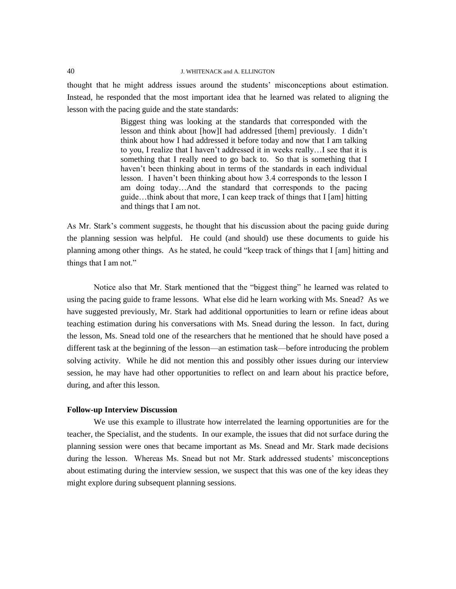thought that he might address issues around the students' misconceptions about estimation. Instead, he responded that the most important idea that he learned was related to aligning the lesson with the pacing guide and the state standards:

> Biggest thing was looking at the standards that corresponded with the lesson and think about [how]I had addressed [them] previously. I didn't think about how I had addressed it before today and now that I am talking to you, I realize that I haven't addressed it in weeks really…I see that it is something that I really need to go back to. So that is something that I haven't been thinking about in terms of the standards in each individual lesson. I haven't been thinking about how 3.4 corresponds to the lesson I am doing today…And the standard that corresponds to the pacing guide…think about that more, I can keep track of things that I [am] hitting and things that I am not.

As Mr. Stark's comment suggests, he thought that his discussion about the pacing guide during the planning session was helpful. He could (and should) use these documents to guide his planning among other things. As he stated, he could "keep track of things that I [am] hitting and things that I am not."

Notice also that Mr. Stark mentioned that the "biggest thing" he learned was related to using the pacing guide to frame lessons. What else did he learn working with Ms. Snead? As we have suggested previously, Mr. Stark had additional opportunities to learn or refine ideas about teaching estimation during his conversations with Ms. Snead during the lesson. In fact, during the lesson, Ms. Snead told one of the researchers that he mentioned that he should have posed a different task at the beginning of the lesson—an estimation task—before introducing the problem solving activity. While he did not mention this and possibly other issues during our interview session, he may have had other opportunities to reflect on and learn about his practice before, during, and after this lesson.

# **Follow-up Interview Discussion**

We use this example to illustrate how interrelated the learning opportunities are for the teacher, the Specialist, and the students. In our example, the issues that did not surface during the planning session were ones that became important as Ms. Snead and Mr. Stark made decisions during the lesson. Whereas Ms. Snead but not Mr. Stark addressed students' misconceptions about estimating during the interview session, we suspect that this was one of the key ideas they might explore during subsequent planning sessions.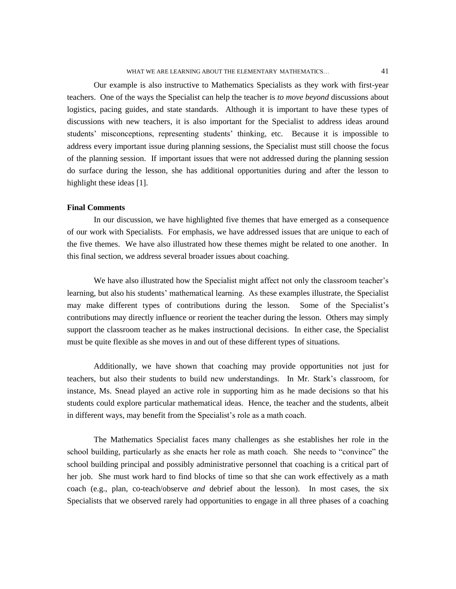Our example is also instructive to Mathematics Specialists as they work with first-year teachers. One of the ways the Specialist can help the teacher is *to move beyond* discussions about logistics, pacing guides, and state standards. Although it is important to have these types of discussions with new teachers, it is also important for the Specialist to address ideas around students' misconceptions, representing students' thinking, etc. Because it is impossible to address every important issue during planning sessions, the Specialist must still choose the focus of the planning session. If important issues that were not addressed during the planning session do surface during the lesson, she has additional opportunities during and after the lesson to highlight these ideas [1].

# **Final Comments**

In our discussion, we have highlighted five themes that have emerged as a consequence of our work with Specialists. For emphasis, we have addressed issues that are unique to each of the five themes. We have also illustrated how these themes might be related to one another. In this final section, we address several broader issues about coaching.

We have also illustrated how the Specialist might affect not only the classroom teacher's learning, but also his students' mathematical learning. As these examples illustrate, the Specialist may make different types of contributions during the lesson. Some of the Specialist's contributions may directly influence or reorient the teacher during the lesson. Others may simply support the classroom teacher as he makes instructional decisions. In either case, the Specialist must be quite flexible as she moves in and out of these different types of situations.

Additionally, we have shown that coaching may provide opportunities not just for teachers, but also their students to build new understandings. In Mr. Stark's classroom, for instance, Ms. Snead played an active role in supporting him as he made decisions so that his students could explore particular mathematical ideas. Hence, the teacher and the students, albeit in different ways, may benefit from the Specialist's role as a math coach.

The Mathematics Specialist faces many challenges as she establishes her role in the school building, particularly as she enacts her role as math coach. She needs to "convince" the school building principal and possibly administrative personnel that coaching is a critical part of her job. She must work hard to find blocks of time so that she can work effectively as a math coach (e.g., plan, co-teach/observe *and* debrief about the lesson). In most cases, the six Specialists that we observed rarely had opportunities to engage in all three phases of a coaching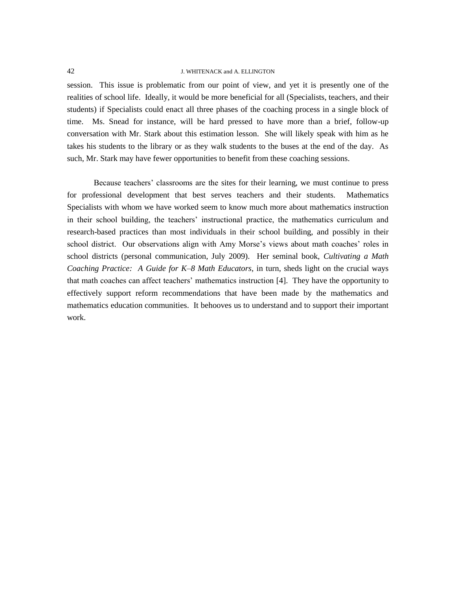session. This issue is problematic from our point of view, and yet it is presently one of the realities of school life. Ideally, it would be more beneficial for all (Specialists, teachers, and their students) if Specialists could enact all three phases of the coaching process in a single block of time. Ms. Snead for instance, will be hard pressed to have more than a brief, follow-up conversation with Mr. Stark about this estimation lesson. She will likely speak with him as he takes his students to the library or as they walk students to the buses at the end of the day. As such, Mr. Stark may have fewer opportunities to benefit from these coaching sessions.

Because teachers' classrooms are the sites for their learning, we must continue to press for professional development that best serves teachers and their students. Mathematics Specialists with whom we have worked seem to know much more about mathematics instruction in their school building, the teachers' instructional practice, the mathematics curriculum and research-based practices than most individuals in their school building, and possibly in their school district. Our observations align with Amy Morse's views about math coaches' roles in school districts (personal communication, July 2009). Her seminal book, *Cultivating a Math Coaching Practice: A Guide for K–8 Math Educators*, in turn, sheds light on the crucial ways that math coaches can affect teachers' mathematics instruction [4]. They have the opportunity to effectively support reform recommendations that have been made by the mathematics and mathematics education communities. It behooves us to understand and to support their important work.